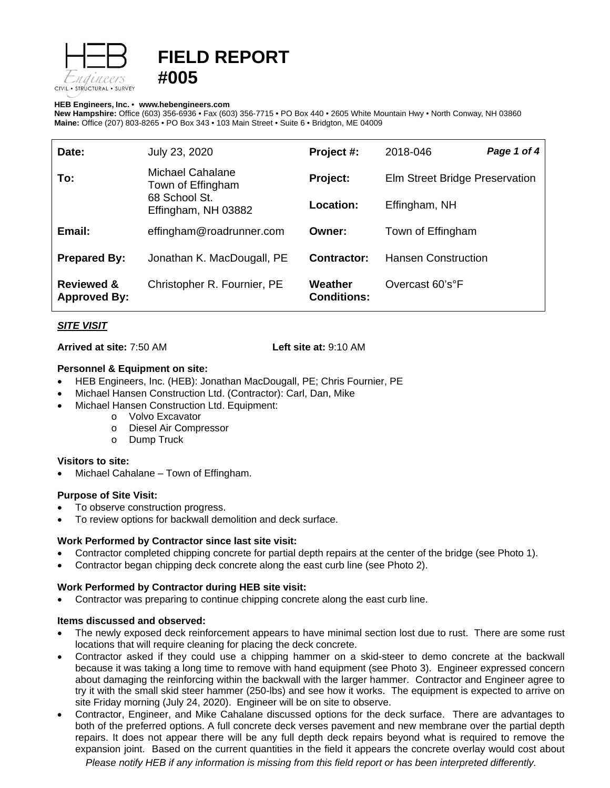

# **FIELD REPORT #005**

#### **HEB Engineers, Inc.** • **[www.hebengineer](http://www.hebengineers.com/)s.com**

**New Hampshire:** Office (603) 356-6936 • Fax (603) 356-7715 • PO Box 440 • 2605 White Mountain Hwy • North Conway, NH 03860 **Maine:** Office (207) 803-8265 • PO Box 343 • 103 Main Street • Suite 6 • Bridgton, ME 04009

| Date:                                        | July 23, 2020                                                                 | Project #:                    | 2018-046                       | Page 1 of 4 |
|----------------------------------------------|-------------------------------------------------------------------------------|-------------------------------|--------------------------------|-------------|
| To:                                          | Michael Cahalane<br>Town of Effingham<br>68 School St.<br>Effingham, NH 03882 | Project:                      | Elm Street Bridge Preservation |             |
|                                              |                                                                               | Location:                     | Effingham, NH                  |             |
| Email:                                       | effingham@roadrunner.com                                                      | Owner:                        | Town of Effingham              |             |
| <b>Prepared By:</b>                          | Jonathan K. MacDougall, PE                                                    | Contractor:                   | <b>Hansen Construction</b>     |             |
| <b>Reviewed &amp;</b><br><b>Approved By:</b> | Christopher R. Fournier, PE                                                   | Weather<br><b>Conditions:</b> | Overcast 60's°F                |             |

# *SITE VISIT*

**Arrived at site:** 7:50 AM **Left site at:** 9:10 AM

### **Personnel & Equipment on site:**

- HEB Engineers, Inc. (HEB): Jonathan MacDougall, PE; Chris Fournier, PE
- Michael Hansen Construction Ltd. (Contractor): Carl, Dan, Mike
- Michael Hansen Construction Ltd. Equipment:
	- o Volvo Excavator
	- o Diesel Air Compressor
	- o Dump Truck

### **Visitors to site:**

• Michael Cahalane – Town of Effingham.

### **Purpose of Site Visit:**

- To observe construction progress.
- To review options for backwall demolition and deck surface.

### **Work Performed by Contractor since last site visit:**

- Contractor completed chipping concrete for partial depth repairs at the center of the bridge (see Photo 1).
- Contractor began chipping deck concrete along the east curb line (see Photo 2).

### **Work Performed by Contractor during HEB site visit:**

• Contractor was preparing to continue chipping concrete along the east curb line.

### **Items discussed and observed:**

- The newly exposed deck reinforcement appears to have minimal section lost due to rust. There are some rust locations that will require cleaning for placing the deck concrete.
- Contractor asked if they could use a chipping hammer on a skid-steer to demo concrete at the backwall because it was taking a long time to remove with hand equipment (see Photo 3). Engineer expressed concern about damaging the reinforcing within the backwall with the larger hammer. Contractor and Engineer agree to try it with the small skid steer hammer (250-lbs) and see how it works. The equipment is expected to arrive on site Friday morning (July 24, 2020). Engineer will be on site to observe.
- Contractor, Engineer, and Mike Cahalane discussed options for the deck surface. There are advantages to both of the preferred options. A full concrete deck verses pavement and new membrane over the partial depth repairs. It does not appear there will be any full depth deck repairs beyond what is required to remove the expansion joint. Based on the current quantities in the field it appears the concrete overlay would cost about

*Please notify HEB if any information is missing from this field report or has been interpreted differently.*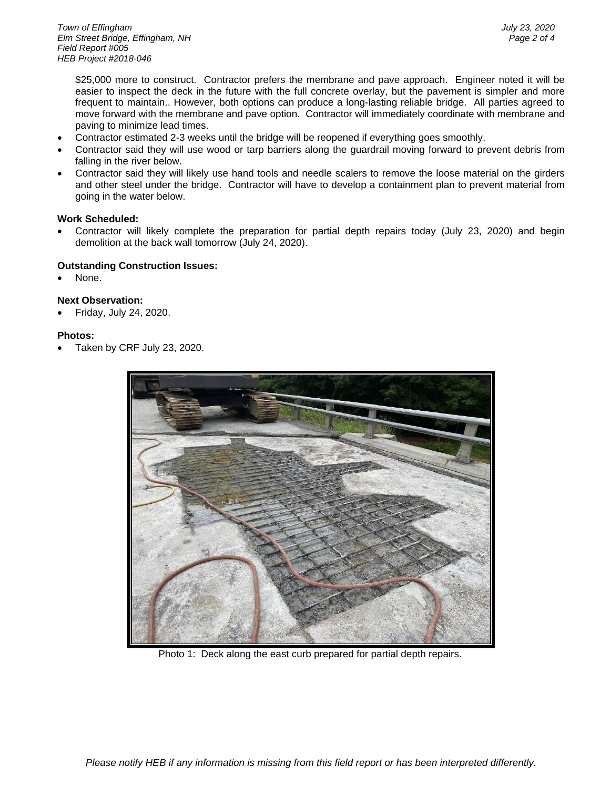\$25,000 more to construct. Contractor prefers the membrane and pave approach. Engineer noted it will be easier to inspect the deck in the future with the full concrete overlay, but the pavement is simpler and more frequent to maintain.. However, both options can produce a long-lasting reliable bridge. All parties agreed to move forward with the membrane and pave option. Contractor will immediately coordinate with membrane and paving to minimize lead times.

- Contractor estimated 2-3 weeks until the bridge will be reopened if everything goes smoothly.
- Contractor said they will use wood or tarp barriers along the guardrail moving forward to prevent debris from falling in the river below.
- Contractor said they will likely use hand tools and needle scalers to remove the loose material on the girders and other steel under the bridge. Contractor will have to develop a containment plan to prevent material from going in the water below.

# **Work Scheduled:**

• Contractor will likely complete the preparation for partial depth repairs today (July 23, 2020) and begin demolition at the back wall tomorrow (July 24, 2020).

### **Outstanding Construction Issues:**

None.

# **Next Observation:**

• Friday, July 24, 2020.

# **Photos:**

• Taken by CRF July 23, 2020.



Photo 1: Deck along the east curb prepared for partial depth repairs.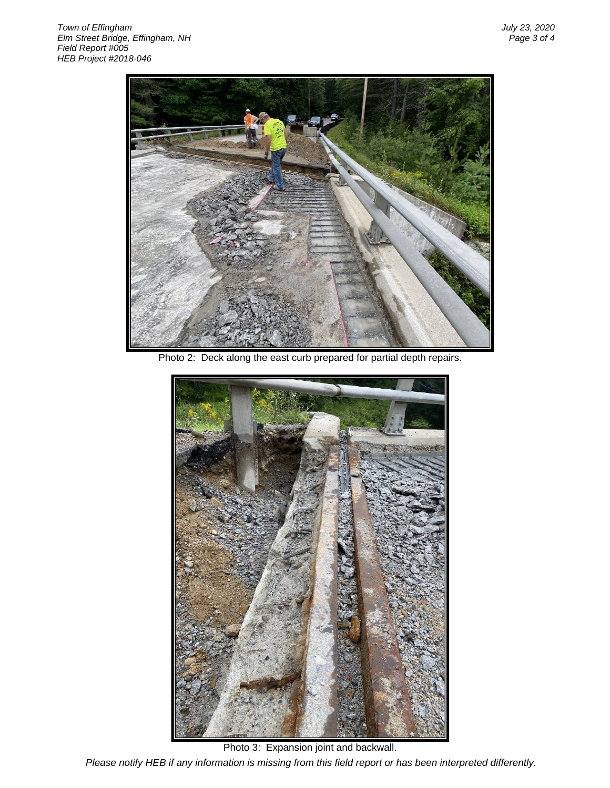

Photo 2: Deck along the east curb prepared for partial depth repairs.



*Please notify HEB if any information is missing from this field report or has been interpreted differently.* Photo 3: Expansion joint and backwall.